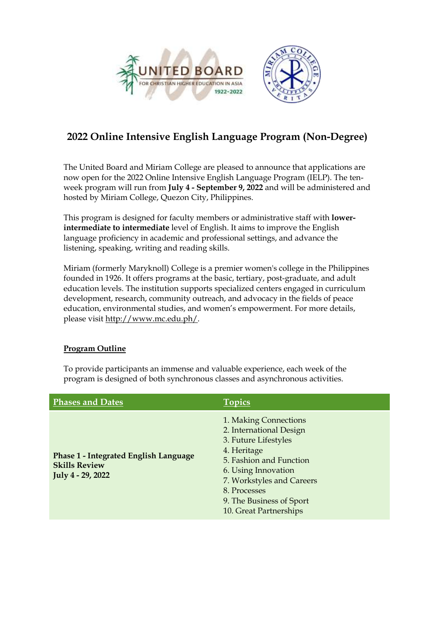



# **2022 Online Intensive English Language Program (Non-Degree)**

The United Board and Miriam College are pleased to announce that applications are now open for the 2022 Online Intensive English Language Program (IELP). The tenweek program will run from **July 4 - September 9, 2022** and will be administered and hosted by Miriam College, Quezon City, Philippines.

This program is designed for faculty members or administrative staff with **lowerintermediate to intermediate** level of English. It aims to improve the English language proficiency in academic and professional settings, and advance the listening, speaking, writing and reading skills.

Miriam (formerly Maryknoll) College is a premier women's college in the Philippines founded in 1926. It offers programs at the basic, tertiary, post-graduate, and adult education levels. The institution supports specialized centers engaged in curriculum development, research, community outreach, and advocacy in the fields of peace education, environmental studies, and women's empowerment. For more details, please visit [http://www.mc.edu.ph/.](http://www.mc.edu.ph/)

# **Program Outline**

To provide participants an immense and valuable experience, each week of the program is designed of both synchronous classes and asynchronous activities.

| <b>Phases and Dates</b>                                                                   | <b>Topics</b>                                                                                                                                                                                                                                |
|-------------------------------------------------------------------------------------------|----------------------------------------------------------------------------------------------------------------------------------------------------------------------------------------------------------------------------------------------|
| <b>Phase 1 - Integrated English Language</b><br><b>Skills Review</b><br>July 4 - 29, 2022 | 1. Making Connections<br>2. International Design<br>3. Future Lifestyles<br>4. Heritage<br>5. Fashion and Function<br>6. Using Innovation<br>7. Workstyles and Careers<br>8. Processes<br>9. The Business of Sport<br>10. Great Partnerships |